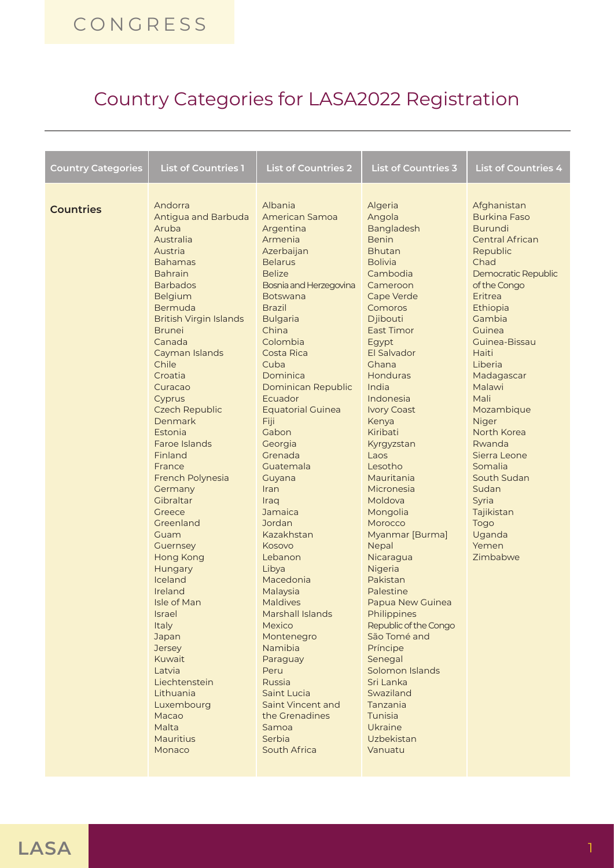## **CONGRESS**

## Country Categories for LASA2022 Registration

| <b>Country Categories</b> | <b>List of Countries 1</b>                                                                                                                                                                                                                                                                                                                                                                                                                                                                                                                                                                                                                                                       | <b>List of Countries 2</b>                                                                                                                                                                                                                                                                                                                                                                                                                                                                                                                                                                                                                                                       | <b>List of Countries 3</b>                                                                                                                                                                                                                                                                                                                                                                                                                                                                                                                                                                                                                                                | <b>List of Countries 4</b>                                                                                                                                                                                                                                                                                                                                                                                                        |
|---------------------------|----------------------------------------------------------------------------------------------------------------------------------------------------------------------------------------------------------------------------------------------------------------------------------------------------------------------------------------------------------------------------------------------------------------------------------------------------------------------------------------------------------------------------------------------------------------------------------------------------------------------------------------------------------------------------------|----------------------------------------------------------------------------------------------------------------------------------------------------------------------------------------------------------------------------------------------------------------------------------------------------------------------------------------------------------------------------------------------------------------------------------------------------------------------------------------------------------------------------------------------------------------------------------------------------------------------------------------------------------------------------------|---------------------------------------------------------------------------------------------------------------------------------------------------------------------------------------------------------------------------------------------------------------------------------------------------------------------------------------------------------------------------------------------------------------------------------------------------------------------------------------------------------------------------------------------------------------------------------------------------------------------------------------------------------------------------|-----------------------------------------------------------------------------------------------------------------------------------------------------------------------------------------------------------------------------------------------------------------------------------------------------------------------------------------------------------------------------------------------------------------------------------|
| <b>Countries</b>          | Andorra<br>Antigua and Barbuda<br>Aruba<br>Australia<br>Austria<br><b>Bahamas</b><br><b>Bahrain</b><br><b>Barbados</b><br>Belgium<br>Bermuda<br><b>British Virgin Islands</b><br><b>Brunei</b><br>Canada<br>Cayman Islands<br>Chile<br>Croatia<br>Curacao<br>Cyprus<br><b>Czech Republic</b><br>Denmark<br>Estonia<br>Faroe Islands<br>Finland<br>France<br>French Polynesia<br>Germany<br>Gibraltar<br>Greece<br>Greenland<br>Guam<br>Guernsey<br>Hong Kong<br>Hungary<br>Iceland<br>Ireland<br>Isle of Man<br><b>Israel</b><br>Italy<br>Japan<br><b>Jersey</b><br>Kuwait<br>Latvia<br>Liechtenstein<br>Lithuania<br>Luxembourg<br>Macao<br>Malta<br><b>Mauritius</b><br>Monaco | Albania<br>American Samoa<br>Argentina<br>Armenia<br>Azerbaijan<br><b>Belarus</b><br><b>Belize</b><br>Bosnia and Herzegovina<br><b>Botswana</b><br><b>Brazil</b><br><b>Bulgaria</b><br>China<br>Colombia<br>Costa Rica<br>Cuba<br>Dominica<br>Dominican Republic<br>Ecuador<br><b>Equatorial Guinea</b><br>Fiji<br>Gabon<br>Georgia<br>Grenada<br>Guatemala<br>Guyana<br>Iran<br>Iraq<br>Jamaica<br>Jordan<br>Kazakhstan<br>Kosovo<br>Lebanon<br>Libya<br>Macedonia<br>Malaysia<br><b>Maldives</b><br>Marshall Islands<br>Mexico<br>Montenegro<br>Namibia<br>Paraguay<br>Peru<br>Russia<br>Saint Lucia<br>Saint Vincent and<br>the Grenadines<br>Samoa<br>Serbia<br>South Africa | Algeria<br>Angola<br><b>Bangladesh</b><br><b>Benin</b><br><b>Bhutan</b><br><b>Bolivia</b><br>Cambodia<br>Cameroon<br>Cape Verde<br>Comoros<br>Djibouti<br>East Timor<br>Egypt<br>El Salvador<br>Ghana<br>Honduras<br>India<br>Indonesia<br><b>Ivory Coast</b><br>Kenya<br>Kiribati<br>Kyrgyzstan<br>Laos<br>Lesotho<br>Mauritania<br>Micronesia<br>Moldova<br>Mongolia<br>Morocco<br>Myanmar [Burma]<br>Nepal<br>Nicaragua<br>Nigeria<br>Pakistan<br>Palestine<br>Papua New Guinea<br>Philippines<br>Republic of the Congo<br>São Tomé and<br>Príncipe<br>Senegal<br>Solomon Islands<br>Sri Lanka<br>Swaziland<br>Tanzania<br>Tunisia<br>Ukraine<br>Uzbekistan<br>Vanuatu | Afghanistan<br><b>Burkina Faso</b><br><b>Burundi</b><br><b>Central African</b><br>Republic<br>Chad<br>Democratic Republic<br>of the Congo<br>Eritrea<br>Ethiopia<br>Gambia<br>Guinea<br>Guinea-Bissau<br>Haiti<br>Liberia<br>Madagascar<br>Malawi<br>Mali<br>Mozambique<br>Niger<br>North Korea<br>Rwanda<br>Sierra Leone<br>Somalia<br>South Sudan<br>Sudan<br>Syria<br>Tajikistan<br><b>Togo</b><br>Uganda<br>Yemen<br>Zimbabwe |